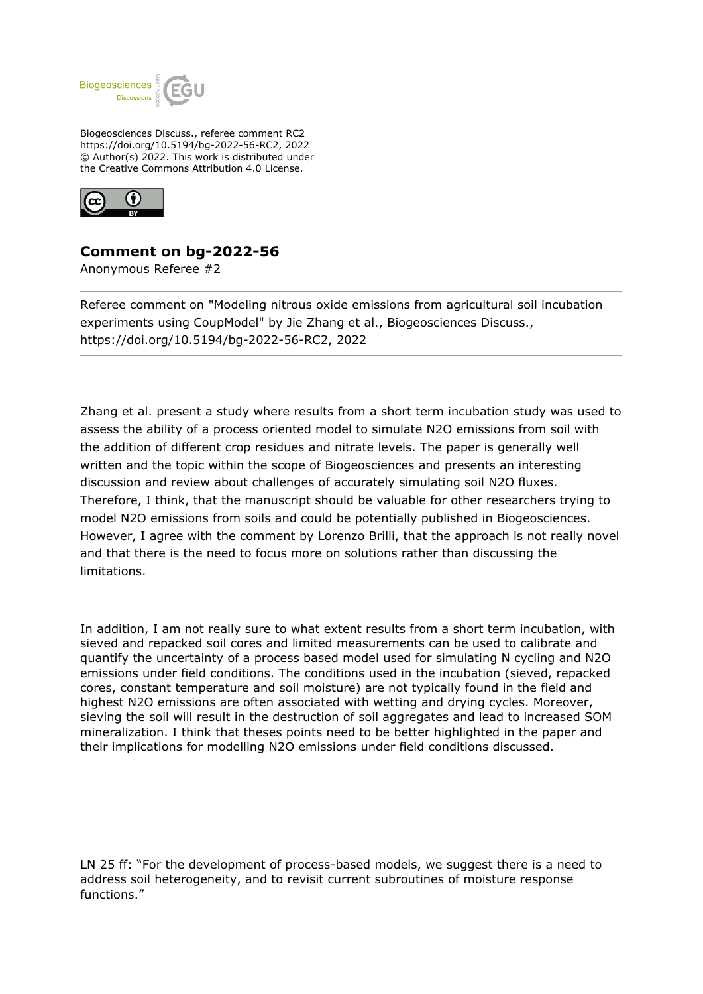

Biogeosciences Discuss., referee comment RC2 https://doi.org/10.5194/bg-2022-56-RC2, 2022 © Author(s) 2022. This work is distributed under the Creative Commons Attribution 4.0 License.



## **Comment on bg-2022-56**

Anonymous Referee #2

Referee comment on "Modeling nitrous oxide emissions from agricultural soil incubation experiments using CoupModel" by Jie Zhang et al., Biogeosciences Discuss., https://doi.org/10.5194/bg-2022-56-RC2, 2022

Zhang et al. present a study where results from a short term incubation study was used to assess the ability of a process oriented model to simulate N2O emissions from soil with the addition of different crop residues and nitrate levels. The paper is generally well written and the topic within the scope of Biogeosciences and presents an interesting discussion and review about challenges of accurately simulating soil N2O fluxes. Therefore, I think, that the manuscript should be valuable for other researchers trying to model N2O emissions from soils and could be potentially published in Biogeosciences. However, I agree with the comment by Lorenzo Brilli, that the approach is not really novel and that there is the need to focus more on solutions rather than discussing the limitations.

In addition, I am not really sure to what extent results from a short term incubation, with sieved and repacked soil cores and limited measurements can be used to calibrate and quantify the uncertainty of a process based model used for simulating N cycling and N2O emissions under field conditions. The conditions used in the incubation (sieved, repacked cores, constant temperature and soil moisture) are not typically found in the field and highest N2O emissions are often associated with wetting and drying cycles. Moreover, sieving the soil will result in the destruction of soil aggregates and lead to increased SOM mineralization. I think that theses points need to be better highlighted in the paper and their implications for modelling N2O emissions under field conditions discussed.

LN 25 ff: "For the development of process-based models, we suggest there is a need to address soil heterogeneity, and to revisit current subroutines of moisture response functions."